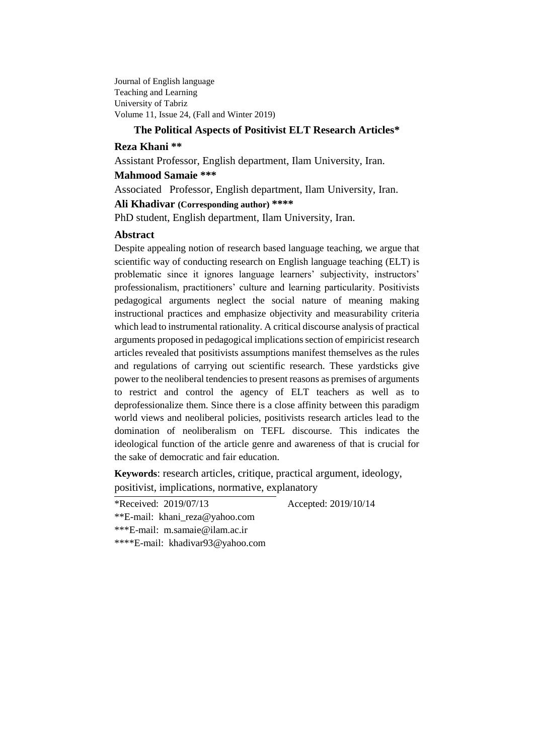Journal of English language Teaching and Learning University of Tabriz Volume 11, Issue 24, (Fall and Winter 2019)

### **The Political Aspects of Positivist ELT Research Articles\***

### **Reza Khani \*\***

Assistant Professor, English department, Ilam University, Iran.

## **Mahmood Samaie \*\*\***

Associated Professor, English department, Ilam University, Iran.

## **Ali Khadivar (Corresponding author) \*\*\*\***

PhD student, English department, Ilam University, Iran.

## **Abstract**

Despite appealing notion of research based language teaching, we argue that scientific way of conducting research on English language teaching (ELT) is problematic since it ignores language learners' subjectivity, instructors' professionalism, practitioners' culture and learning particularity. Positivists pedagogical arguments neglect the social nature of meaning making instructional practices and emphasize objectivity and measurability criteria which lead to instrumental rationality. A critical discourse analysis of practical arguments proposed in pedagogical implications section of empiricist research articles revealed that positivists assumptions manifest themselves as the rules and regulations of carrying out scientific research. These yardsticks give power to the neoliberal tendencies to present reasons as premises of arguments to restrict and control the agency of ELT teachers as well as to deprofessionalize them. Since there is a close affinity between this paradigm world views and neoliberal policies, positivists research articles lead to the domination of neoliberalism on TEFL discourse. This indicates the ideological function of the article genre and awareness of that is crucial for the sake of democratic and fair education.

**Keywords**: research articles, critique, practical argument, ideology,

positivist, implications, normative, explanatory

\*Received: 2019/07/13 Accepted: 2019/10/14

\*\*E-mail: khani\_reza@yahoo.com \*\*\*E-mail: [m.samaie@ilam.ac.ir](mailto:m.samaie@ilam.ac.ir) \*\*\*\*E-mail: [khadivar93@yahoo.com](mailto:khadivar93@yahoo.com)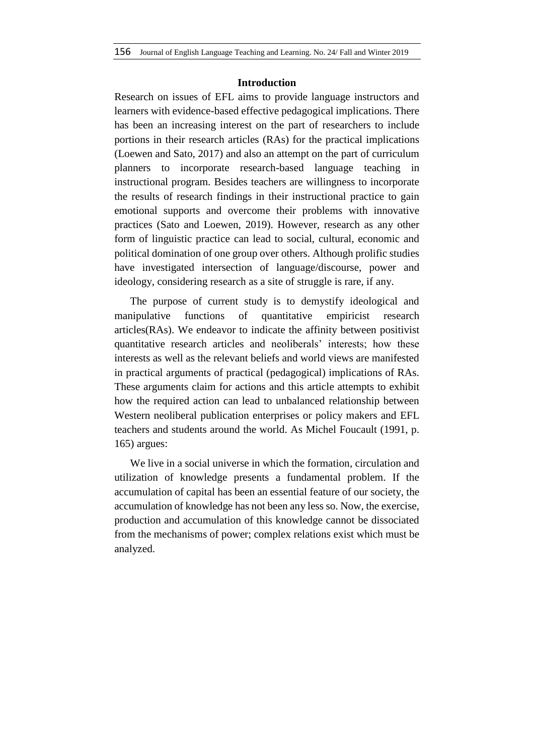### **Introduction**

Research on issues of EFL aims to provide language instructors and learners with evidence-based effective pedagogical implications. There has been an increasing interest on the part of researchers to include portions in their research articles (RAs) for the practical implications (Loewen and Sato, 2017) and also an attempt on the part of curriculum planners to incorporate research-based language teaching in instructional program. Besides teachers are willingness to incorporate the results of research findings in their instructional practice to gain emotional supports and overcome their problems with innovative practices (Sato and Loewen, 2019). However, research as any other form of linguistic practice can lead to social, cultural, economic and political domination of one group over others. Although prolific studies have investigated intersection of language/discourse, power and ideology, considering research as a site of struggle is rare, if any.

The purpose of current study is to demystify ideological and manipulative functions of quantitative empiricist research articles(RAs). We endeavor to indicate the affinity between positivist quantitative research articles and neoliberals' interests; how these interests as well as the relevant beliefs and world views are manifested in practical arguments of practical (pedagogical) implications of RAs. These arguments claim for actions and this article attempts to exhibit how the required action can lead to unbalanced relationship between Western neoliberal publication enterprises or policy makers and EFL teachers and students around the world. As Michel Foucault (1991, p. 165) argues:

We live in a social universe in which the formation, circulation and utilization of knowledge presents a fundamental problem. If the accumulation of capital has been an essential feature of our society, the accumulation of knowledge has not been any less so. Now, the exercise, production and accumulation of this knowledge cannot be dissociated from the mechanisms of power; complex relations exist which must be analyzed.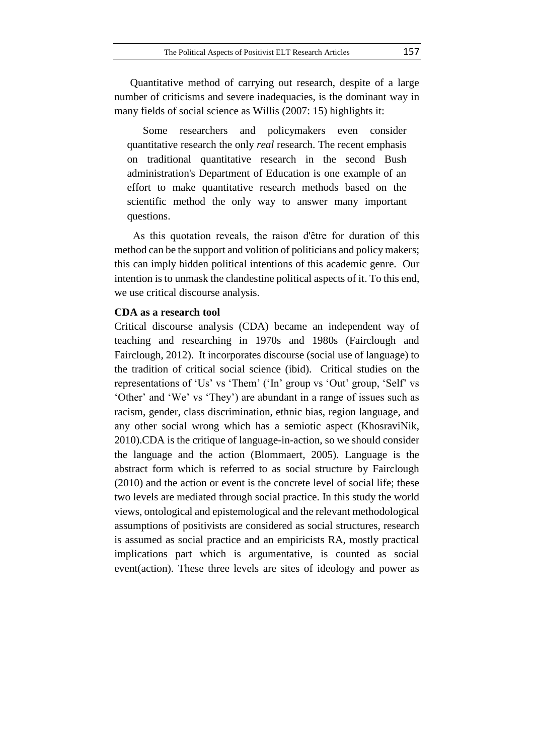Quantitative method of carrying out research, despite of a large number of criticisms and severe inadequacies, is the dominant way in many fields of social science as Willis (2007: 15) highlights it:

Some researchers and policymakers even consider quantitative research the only *real* research. The recent emphasis on traditional quantitative research in the second Bush administration's Department of Education is one example of an effort to make quantitative research methods based on the scientific method the only way to answer many important questions.

As this quotation reveals, the raison d'être for duration of this method can be the support and volition of politicians and policy makers; this can imply hidden political intentions of this academic genre. Our intention is to unmask the clandestine political aspects of it. To this end, we use critical discourse analysis.

### **CDA as a research tool**

Critical discourse analysis (CDA) became an independent way of teaching and researching in 1970s and 1980s (Fairclough and Fairclough, 2012). It incorporates discourse (social use of language) to the tradition of critical social science (ibid). Critical studies on the representations of 'Us' vs 'Them' ('In' group vs 'Out' group, 'Self' vs 'Other' and 'We' vs 'They') are abundant in a range of issues such as racism, gender, class discrimination, ethnic bias, region language, and any other social wrong which has a semiotic aspect (KhosraviNik, 2010).CDA is the critique of language-in-action, so we should consider the language and the action (Blommaert, 2005). Language is the abstract form which is referred to as social structure by Fairclough (2010) and the action or event is the concrete level of social life; these two levels are mediated through social practice. In this study the world views, ontological and epistemological and the relevant methodological assumptions of positivists are considered as social structures, research is assumed as social practice and an empiricists RA, mostly practical implications part which is argumentative, is counted as social event(action). These three levels are sites of ideology and power as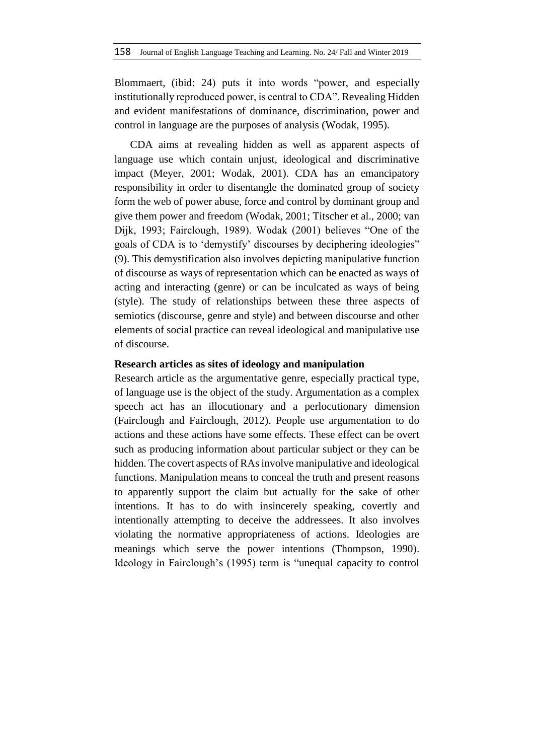Blommaert, (ibid: 24) puts it into words "power, and especially institutionally reproduced power, is central to CDA". Revealing Hidden and evident manifestations of dominance, discrimination, power and control in language are the purposes of analysis (Wodak, 1995).

CDA aims at revealing hidden as well as apparent aspects of language use which contain unjust, ideological and discriminative impact (Meyer, 2001; Wodak, 2001). CDA has an emancipatory responsibility in order to disentangle the dominated group of society form the web of power abuse, force and control by dominant group and give them power and freedom (Wodak, 2001; Titscher et al., 2000; van Dijk, 1993; Fairclough, 1989). Wodak (2001) believes "One of the goals of CDA is to 'demystify' discourses by deciphering ideologies" (9). This demystification also involves depicting manipulative function of discourse as ways of representation which can be enacted as ways of acting and interacting (genre) or can be inculcated as ways of being (style). The study of relationships between these three aspects of semiotics (discourse, genre and style) and between discourse and other elements of social practice can reveal ideological and manipulative use of discourse.

### **Research articles as sites of ideology and manipulation**

Research article as the argumentative genre, especially practical type, of language use is the object of the study. Argumentation as a complex speech act has an illocutionary and a perlocutionary dimension (Fairclough and Fairclough, 2012). People use argumentation to do actions and these actions have some effects. These effect can be overt such as producing information about particular subject or they can be hidden. The covert aspects of RAs involve manipulative and ideological functions. Manipulation means to conceal the truth and present reasons to apparently support the claim but actually for the sake of other intentions. It has to do with insincerely speaking, covertly and intentionally attempting to deceive the addressees. It also involves violating the normative appropriateness of actions. Ideologies are meanings which serve the power intentions (Thompson, 1990). Ideology in Fairclough's (1995) term is "unequal capacity to control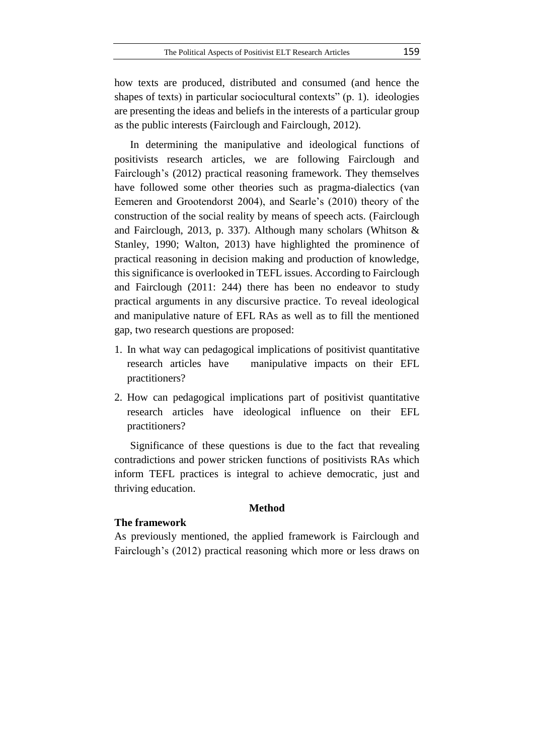how texts are produced, distributed and consumed (and hence the shapes of texts) in particular sociocultural contexts" (p. 1). ideologies are presenting the ideas and beliefs in the interests of a particular group as the public interests (Fairclough and Fairclough, 2012).

In determining the manipulative and ideological functions of positivists research articles, we are following Fairclough and Fairclough's (2012) practical reasoning framework. They themselves have followed some other theories such as pragma-dialectics (van Eemeren and Grootendorst 2004), and Searle's (2010) theory of the construction of the social reality by means of speech acts. (Fairclough and Fairclough, 2013, p. 337). Although many scholars (Whitson & Stanley, 1990; Walton, 2013) have highlighted the prominence of practical reasoning in decision making and production of knowledge, this significance is overlooked in TEFL issues. According to Fairclough and Fairclough (2011: 244) there has been no endeavor to study practical arguments in any discursive practice. To reveal ideological and manipulative nature of EFL RAs as well as to fill the mentioned gap, two research questions are proposed:

- 1. In what way can pedagogical implications of positivist quantitative research articles have manipulative impacts on their EFL practitioners?
- 2. How can pedagogical implications part of positivist quantitative research articles have ideological influence on their EFL practitioners?

Significance of these questions is due to the fact that revealing contradictions and power stricken functions of positivists RAs which inform TEFL practices is integral to achieve democratic, just and thriving education.

#### **Method**

#### **The framework**

As previously mentioned, the applied framework is Fairclough and Fairclough's (2012) practical reasoning which more or less draws on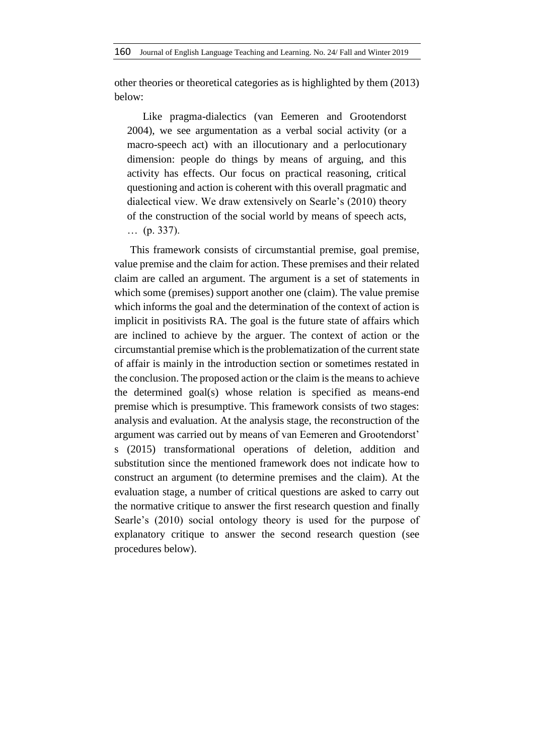other theories or theoretical categories as is highlighted by them (2013) below:

Like pragma-dialectics (van Eemeren and Grootendorst 2004), we see argumentation as a verbal social activity (or a macro-speech act) with an illocutionary and a perlocutionary dimension: people do things by means of arguing, and this activity has effects. Our focus on practical reasoning, critical questioning and action is coherent with this overall pragmatic and dialectical view. We draw extensively on Searle's (2010) theory of the construction of the social world by means of speech acts, … (p. 337).

This framework consists of circumstantial premise, goal premise, value premise and the claim for action. These premises and their related claim are called an argument. The argument is a set of statements in which some (premises) support another one (claim). The value premise which informs the goal and the determination of the context of action is implicit in positivists RA. The goal is the future state of affairs which are inclined to achieve by the arguer. The context of action or the circumstantial premise which is the problematization of the current state of affair is mainly in the introduction section or sometimes restated in the conclusion. The proposed action or the claim is the means to achieve the determined goal(s) whose relation is specified as means-end premise which is presumptive. This framework consists of two stages: analysis and evaluation. At the analysis stage, the reconstruction of the argument was carried out by means of van Eemeren and Grootendorst' s (2015) transformational operations of deletion, addition and substitution since the mentioned framework does not indicate how to construct an argument (to determine premises and the claim). At the evaluation stage, a number of critical questions are asked to carry out the normative critique to answer the first research question and finally Searle's (2010) social ontology theory is used for the purpose of explanatory critique to answer the second research question (see procedures below).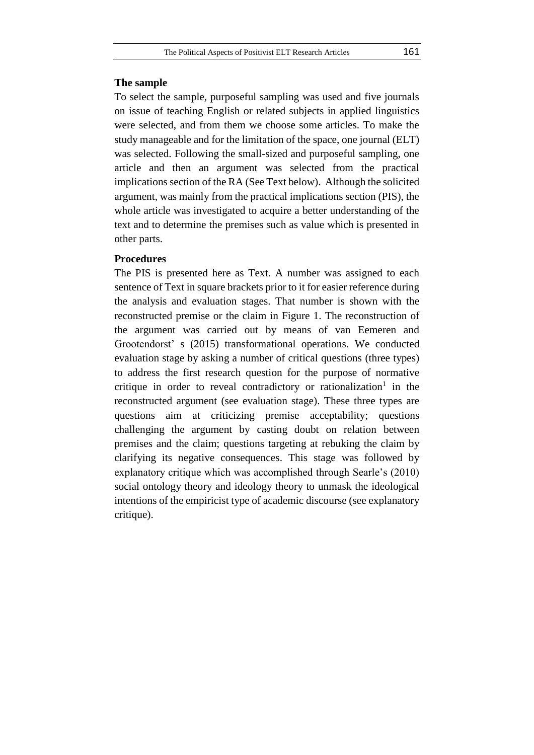### **The sample**

To select the sample, purposeful sampling was used and five journals on issue of teaching English or related subjects in applied linguistics were selected, and from them we choose some articles. To make the study manageable and for the limitation of the space, one journal (ELT) was selected. Following the small-sized and purposeful sampling, one article and then an argument was selected from the practical implications section of the RA (See Text below). Although the solicited argument, was mainly from the practical implications section (PIS), the whole article was investigated to acquire a better understanding of the text and to determine the premises such as value which is presented in other parts.

#### **Procedures**

The PIS is presented here as Text. A number was assigned to each sentence of Text in square brackets prior to it for easier reference during the analysis and evaluation stages. That number is shown with the reconstructed premise or the claim in Figure 1. The reconstruction of the argument was carried out by means of van Eemeren and Grootendorst' s (2015) transformational operations. We conducted evaluation stage by asking a number of critical questions (three types) to address the first research question for the purpose of normative critique in order to reveal contradictory or rationalization<sup>1</sup> in the reconstructed argument (see evaluation stage). These three types are questions aim at criticizing premise acceptability; questions challenging the argument by casting doubt on relation between premises and the claim; questions targeting at rebuking the claim by clarifying its negative consequences. This stage was followed by explanatory critique which was accomplished through Searle's (2010) social ontology theory and ideology theory to unmask the ideological intentions of the empiricist type of academic discourse (see explanatory critique).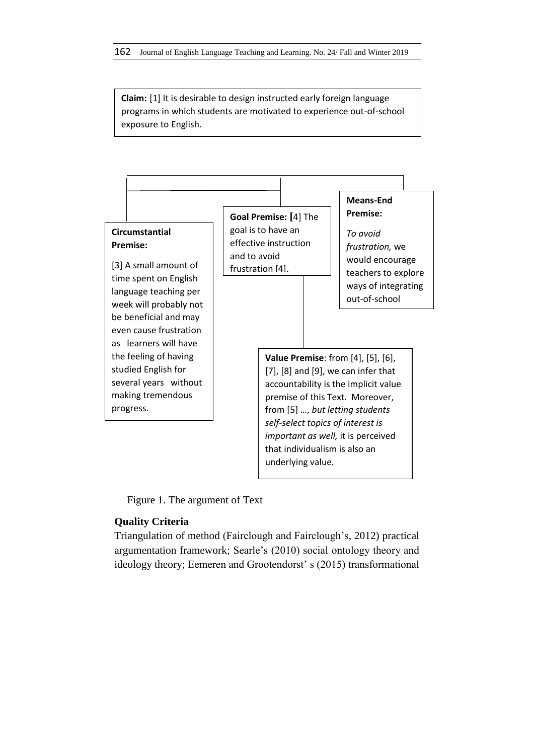**Claim:** [1] It is desirable to design instructed early foreign language programs in which students are motivated to experience out-of-school exposure to English.



Figure 1. The argument of Text

# **Quality Criteria**

Triangulation of method (Fairclough and Fairclough's, 2012) practical argumentation framework; Searle's (2010) social ontology theory and ideology theory; Eemeren and Grootendorst' s (2015) transformational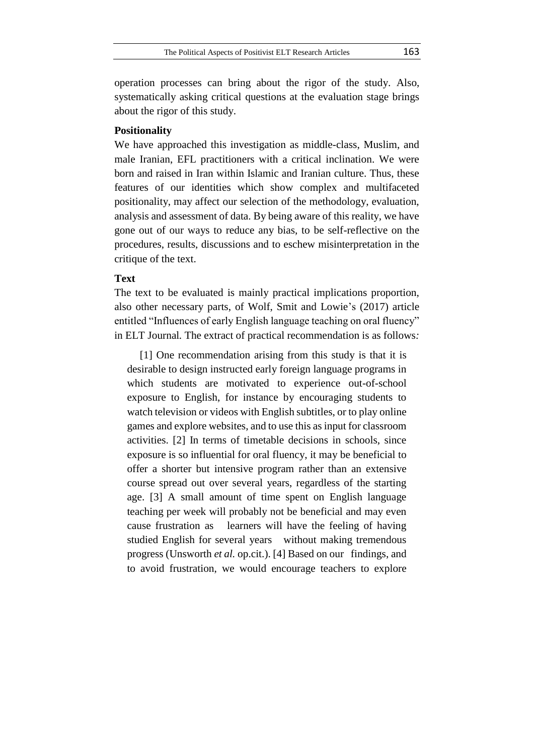operation processes can bring about the rigor of the study. Also, systematically asking critical questions at the evaluation stage brings about the rigor of this study.

### **Positionality**

We have approached this investigation as middle-class, Muslim, and male Iranian, EFL practitioners with a critical inclination. We were born and raised in Iran within Islamic and Iranian culture. Thus, these features of our identities which show complex and multifaceted positionality, may affect our selection of the methodology, evaluation, analysis and assessment of data. By being aware of this reality, we have gone out of our ways to reduce any bias, to be self-reflective on the procedures, results, discussions and to eschew misinterpretation in the critique of the text.

### **Text**

The text to be evaluated is mainly practical implications proportion, also other necessary parts, of Wolf, Smit and Lowie's (2017) article entitled "Influences of early English language teaching on oral fluency" in ELT Journal*.* The extract of practical recommendation is as follows*:*

[1] One recommendation arising from this study is that it is desirable to design instructed early foreign language programs in which students are motivated to experience out-of-school exposure to English, for instance by encouraging students to watch television or videos with English subtitles, or to play online games and explore websites, and to use this as input for classroom activities. [2] In terms of timetable decisions in schools, since exposure is so influential for oral fluency, it may be beneficial to offer a shorter but intensive program rather than an extensive course spread out over several years, regardless of the starting age. [3] A small amount of time spent on English language teaching per week will probably not be beneficial and may even cause frustration as learners will have the feeling of having studied English for several years without making tremendous progress (Unsworth *et al.* op.cit.). [4] Based on our findings, and to avoid frustration, we would encourage teachers to explore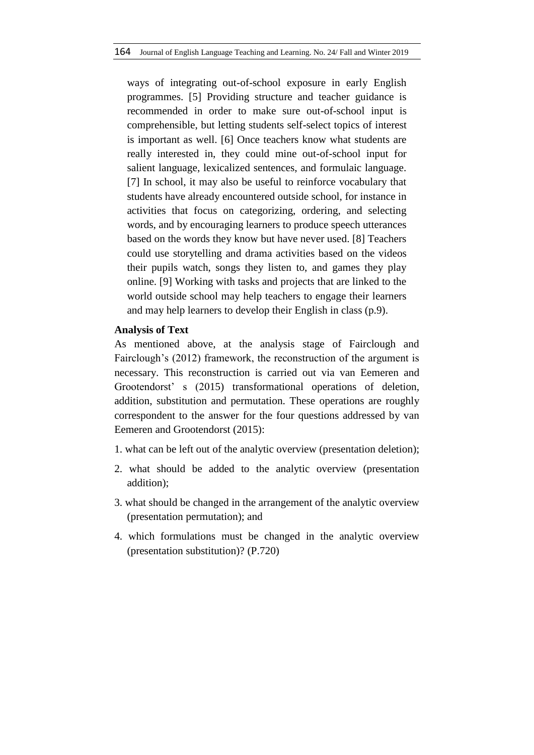ways of integrating out-of-school exposure in early English programmes. [5] Providing structure and teacher guidance is recommended in order to make sure out-of-school input is comprehensible, but letting students self-select topics of interest is important as well. [6] Once teachers know what students are really interested in, they could mine out-of-school input for salient language, lexicalized sentences, and formulaic language. [7] In school, it may also be useful to reinforce vocabulary that students have already encountered outside school, for instance in activities that focus on categorizing, ordering, and selecting words, and by encouraging learners to produce speech utterances based on the words they know but have never used. [8] Teachers could use storytelling and drama activities based on the videos their pupils watch, songs they listen to, and games they play online. [9] Working with tasks and projects that are linked to the world outside school may help teachers to engage their learners and may help learners to develop their English in class (p.9).

### **Analysis of Text**

As mentioned above, at the analysis stage of Fairclough and Fairclough's (2012) framework, the reconstruction of the argument is necessary. This reconstruction is carried out via van Eemeren and Grootendorst' s (2015) transformational operations of deletion, addition, substitution and permutation. These operations are roughly correspondent to the answer for the four questions addressed by van Eemeren and Grootendorst (2015):

- 1. what can be left out of the analytic overview (presentation deletion);
- 2. what should be added to the analytic overview (presentation addition);
- 3. what should be changed in the arrangement of the analytic overview (presentation permutation); and
- 4. which formulations must be changed in the analytic overview (presentation substitution)? (P.720)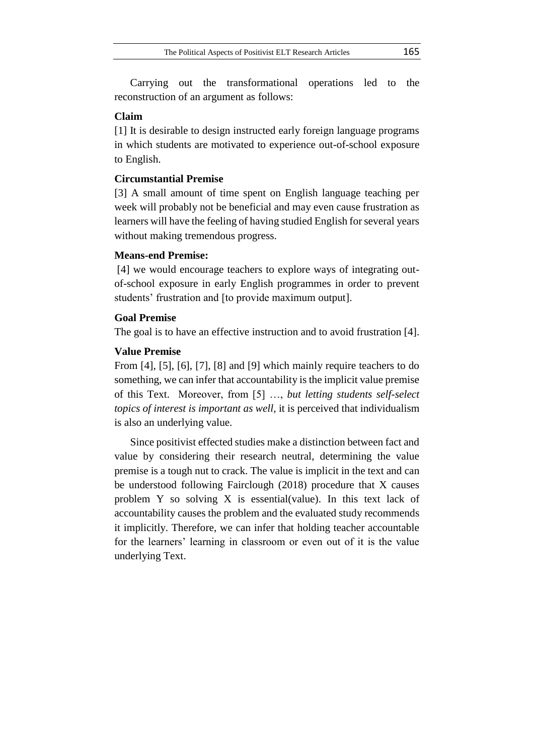Carrying out the transformational operations led to the reconstruction of an argument as follows:

### **Claim**

[1] It is desirable to design instructed early foreign language programs in which students are motivated to experience out-of-school exposure to English.

### **Circumstantial Premise**

[3] A small amount of time spent on English language teaching per week will probably not be beneficial and may even cause frustration as learners will have the feeling of having studied English for several years without making tremendous progress.

### **Means-end Premise:**

[4] we would encourage teachers to explore ways of integrating outof-school exposure in early English programmes in order to prevent students' frustration and [to provide maximum output].

## **Goal Premise**

The goal is to have an effective instruction and to avoid frustration [4].

### **Value Premise**

From [4], [5], [6], [7], [8] and [9] which mainly require teachers to do something, we can infer that accountability is the implicit value premise of this Text. Moreover, from [5] …, *but letting students self-select topics of interest is important as well,* it is perceived that individualism is also an underlying value*.*

Since positivist effected studies make a distinction between fact and value by considering their research neutral, determining the value premise is a tough nut to crack. The value is implicit in the text and can be understood following Fairclough (2018) procedure that X causes problem Y so solving X is essential(value). In this text lack of accountability causes the problem and the evaluated study recommends it implicitly. Therefore, we can infer that holding teacher accountable for the learners' learning in classroom or even out of it is the value underlying Text.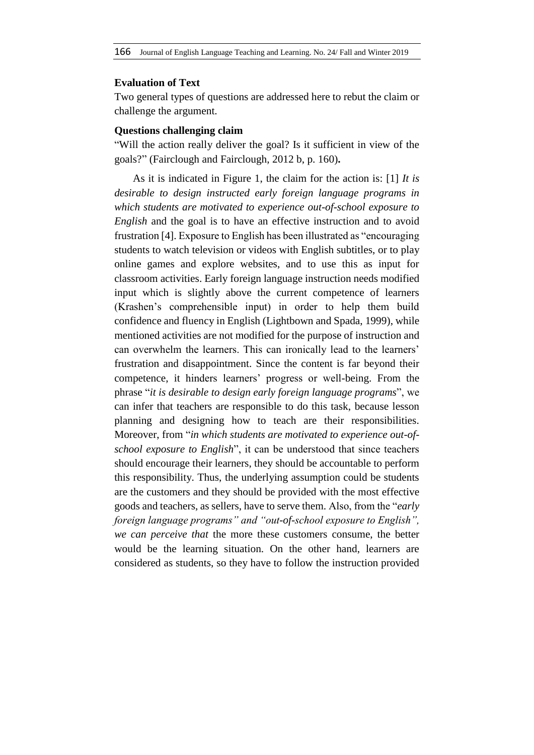### **Evaluation of Text**

Two general types of questions are addressed here to rebut the claim or challenge the argument.

### **Questions challenging claim**

"Will the action really deliver the goal? Is it sufficient in view of the goals?" (Fairclough and Fairclough, 2012 b, p. 160)**.**

As it is indicated in Figure 1, the claim for the action is: [1] *It is desirable to design instructed early foreign language programs in which students are motivated to experience out-of-school exposure to English* and the goal is to have an effective instruction and to avoid frustration [4]. Exposure to English has been illustrated as "encouraging students to watch television or videos with English subtitles, or to play online games and explore websites, and to use this as input for classroom activities. Early foreign language instruction needs modified input which is slightly above the current competence of learners (Krashen's comprehensible input) in order to help them build confidence and fluency in English (Lightbown and Spada, 1999), while mentioned activities are not modified for the purpose of instruction and can overwhelm the learners. This can ironically lead to the learners' frustration and disappointment. Since the content is far beyond their competence, it hinders learners' progress or well-being. From the phrase "*it is desirable to design early foreign language programs*", we can infer that teachers are responsible to do this task, because lesson planning and designing how to teach are their responsibilities. Moreover, from "*in which students are motivated to experience out-ofschool exposure to English*", it can be understood that since teachers should encourage their learners, they should be accountable to perform this responsibility. Thus, the underlying assumption could be students are the customers and they should be provided with the most effective goods and teachers, as sellers, have to serve them. Also, from the "*early foreign language programs" and "out-of-school exposure to English", we can perceive that* the more these customers consume, the better would be the learning situation. On the other hand, learners are considered as students, so they have to follow the instruction provided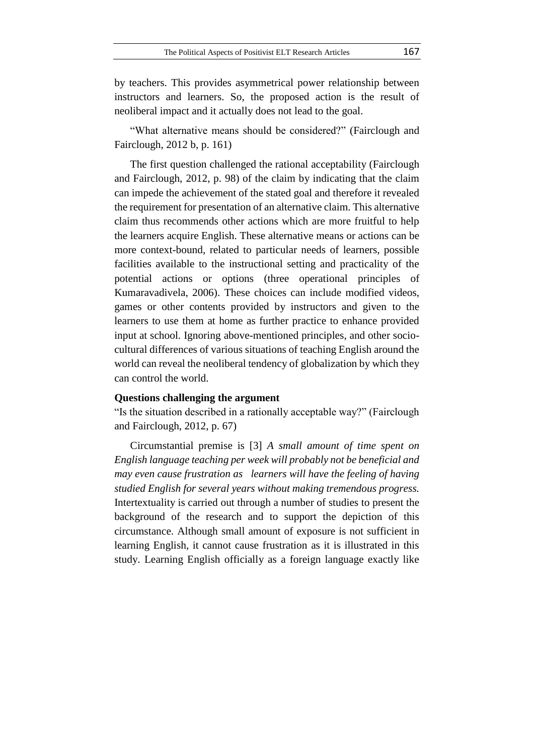by teachers. This provides asymmetrical power relationship between instructors and learners. So, the proposed action is the result of neoliberal impact and it actually does not lead to the goal.

"What alternative means should be considered?" (Fairclough and Fairclough, 2012 b, p. 161)

The first question challenged the rational acceptability (Fairclough and Fairclough, 2012, p. 98) of the claim by indicating that the claim can impede the achievement of the stated goal and therefore it revealed the requirement for presentation of an alternative claim. This alternative claim thus recommends other actions which are more fruitful to help the learners acquire English. These alternative means or actions can be more context-bound, related to particular needs of learners, possible facilities available to the instructional setting and practicality of the potential actions or options (three operational principles of Kumaravadivela, 2006). These choices can include modified videos, games or other contents provided by instructors and given to the learners to use them at home as further practice to enhance provided input at school. Ignoring above-mentioned principles, and other sociocultural differences of various situations of teaching English around the world can reveal the neoliberal tendency of globalization by which they can control the world.

#### **Questions challenging the argument**

"Is the situation described in a rationally acceptable way?" (Fairclough and Fairclough, 2012, p. 67)

Circumstantial premise is [3] *A small amount of time spent on English language teaching per week will probably not be beneficial and may even cause frustration as learners will have the feeling of having studied English for several years without making tremendous progress.* Intertextuality is carried out through a number of studies to present the background of the research and to support the depiction of this circumstance. Although small amount of exposure is not sufficient in learning English, it cannot cause frustration as it is illustrated in this study. Learning English officially as a foreign language exactly like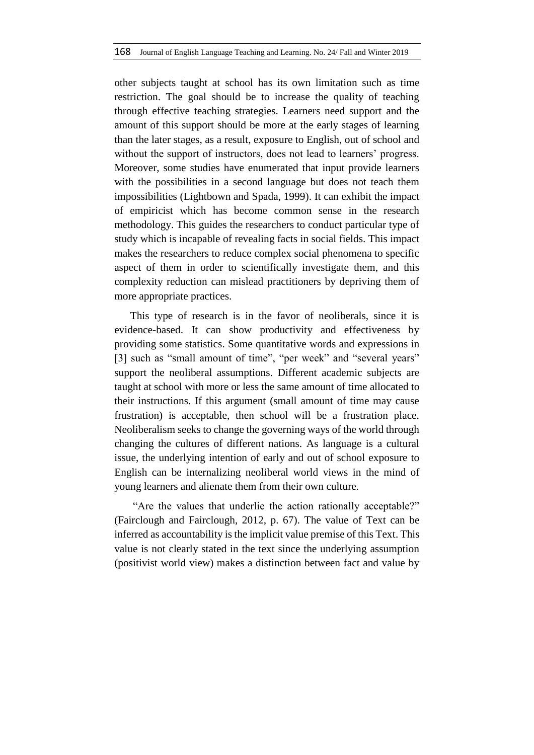other subjects taught at school has its own limitation such as time restriction. The goal should be to increase the quality of teaching through effective teaching strategies. Learners need support and the amount of this support should be more at the early stages of learning than the later stages, as a result, exposure to English, out of school and without the support of instructors, does not lead to learners' progress. Moreover, some studies have enumerated that input provide learners with the possibilities in a second language but does not teach them impossibilities (Lightbown and Spada, 1999). It can exhibit the impact of empiricist which has become common sense in the research methodology. This guides the researchers to conduct particular type of study which is incapable of revealing facts in social fields. This impact makes the researchers to reduce complex social phenomena to specific aspect of them in order to scientifically investigate them, and this complexity reduction can mislead practitioners by depriving them of more appropriate practices.

This type of research is in the favor of neoliberals, since it is evidence-based. It can show productivity and effectiveness by providing some statistics. Some quantitative words and expressions in [3] such as "small amount of time", "per week" and "several years" support the neoliberal assumptions. Different academic subjects are taught at school with more or less the same amount of time allocated to their instructions. If this argument (small amount of time may cause frustration) is acceptable, then school will be a frustration place. Neoliberalism seeks to change the governing ways of the world through changing the cultures of different nations. As language is a cultural issue, the underlying intention of early and out of school exposure to English can be internalizing neoliberal world views in the mind of young learners and alienate them from their own culture.

"Are the values that underlie the action rationally acceptable?" (Fairclough and Fairclough, 2012, p. 67). The value of Text can be inferred as accountability is the implicit value premise of this Text. This value is not clearly stated in the text since the underlying assumption (positivist world view) makes a distinction between fact and value by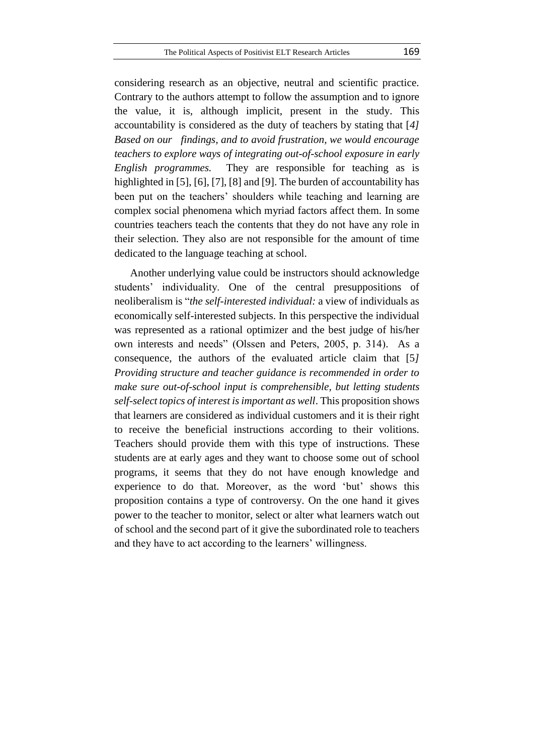considering research as an objective, neutral and scientific practice. Contrary to the authors attempt to follow the assumption and to ignore the value, it is, although implicit, present in the study. This accountability is considered as the duty of teachers by stating that [*4] Based on our findings, and to avoid frustration, we would encourage teachers to explore ways of integrating out-of-school exposure in early English programmes.* They are responsible for teaching as is highlighted in [5], [6], [7], [8] and [9]. The burden of accountability has been put on the teachers' shoulders while teaching and learning are complex social phenomena which myriad factors affect them. In some countries teachers teach the contents that they do not have any role in their selection. They also are not responsible for the amount of time dedicated to the language teaching at school.

Another underlying value could be instructors should acknowledge students' individuality. One of the central presuppositions of neoliberalism is "*the self-interested individual:* a view of individuals as economically self-interested subjects. In this perspective the individual was represented as a rational optimizer and the best judge of his/her own interests and needs" (Olssen and Peters, 2005, p. 314). As a consequence, the authors of the evaluated article claim that [5*] Providing structure and teacher guidance is recommended in order to make sure out-of-school input is comprehensible, but letting students self-select topics of interest is important as well*. This proposition shows that learners are considered as individual customers and it is their right to receive the beneficial instructions according to their volitions. Teachers should provide them with this type of instructions. These students are at early ages and they want to choose some out of school programs, it seems that they do not have enough knowledge and experience to do that. Moreover, as the word 'but' shows this proposition contains a type of controversy. On the one hand it gives power to the teacher to monitor, select or alter what learners watch out of school and the second part of it give the subordinated role to teachers and they have to act according to the learners' willingness.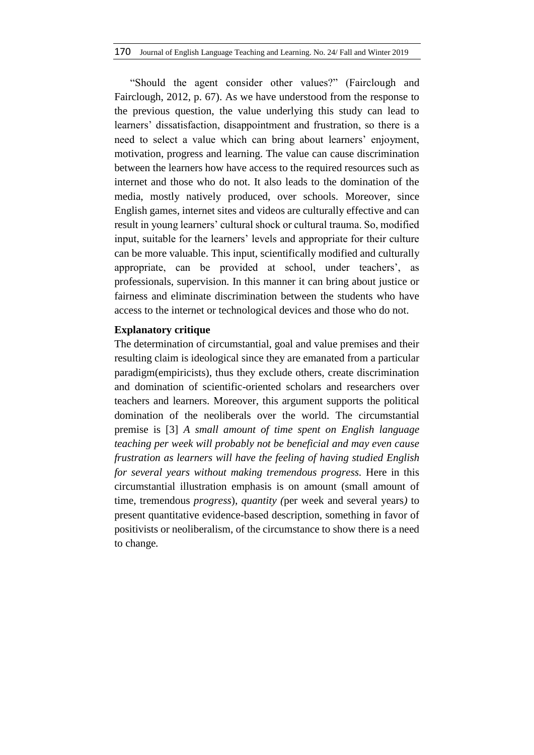"Should the agent consider other values?" (Fairclough and Fairclough, 2012, p. 67). As we have understood from the response to the previous question, the value underlying this study can lead to learners' dissatisfaction, disappointment and frustration, so there is a need to select a value which can bring about learners' enjoyment, motivation, progress and learning. The value can cause discrimination between the learners how have access to the required resources such as internet and those who do not. It also leads to the domination of the media, mostly natively produced, over schools. Moreover, since English games, internet sites and videos are culturally effective and can result in young learners' cultural shock or cultural trauma. So, modified input, suitable for the learners' levels and appropriate for their culture can be more valuable. This input, scientifically modified and culturally appropriate, can be provided at school, under teachers', as professionals, supervision. In this manner it can bring about justice or fairness and eliminate discrimination between the students who have access to the internet or technological devices and those who do not.

### **Explanatory critique**

The determination of circumstantial, goal and value premises and their resulting claim is ideological since they are emanated from a particular paradigm(empiricists), thus they exclude others, create discrimination and domination of scientific-oriented scholars and researchers over teachers and learners. Moreover, this argument supports the political domination of the neoliberals over the world. The circumstantial premise is [3] *A small amount of time spent on English language teaching per week will probably not be beneficial and may even cause frustration as learners will have the feeling of having studied English for several years without making tremendous progress.* Here in this circumstantial illustration emphasis is on amount (small amount of time, tremendous *progress*), *quantity (*per week and several years*)* to present quantitative evidence-based description, something in favor of positivists or neoliberalism, of the circumstance to show there is a need to change*.*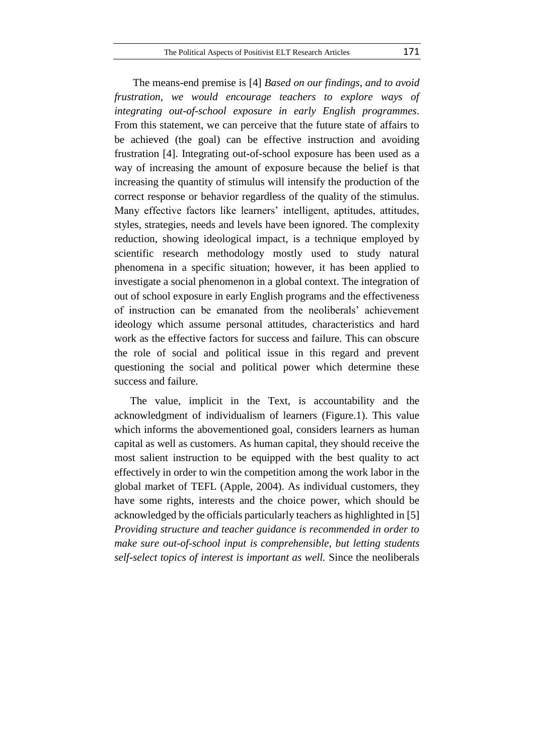The means-end premise is [4] *Based on our findings, and to avoid frustration, we would encourage teachers to explore ways of integrating out-of-school exposure in early English programmes*. From this statement, we can perceive that the future state of affairs to be achieved (the goal) can be effective instruction and avoiding frustration [4]. Integrating out-of-school exposure has been used as a way of increasing the amount of exposure because the belief is that increasing the quantity of stimulus will intensify the production of the correct response or behavior regardless of the quality of the stimulus. Many effective factors like learners' intelligent, aptitudes, attitudes, styles, strategies, needs and levels have been ignored. The complexity reduction, showing ideological impact, is a technique employed by scientific research methodology mostly used to study natural phenomena in a specific situation; however, it has been applied to investigate a social phenomenon in a global context. The integration of out of school exposure in early English programs and the effectiveness of instruction can be emanated from the neoliberals' achievement ideology which assume personal attitudes, characteristics and hard work as the effective factors for success and failure. This can obscure the role of social and political issue in this regard and prevent questioning the social and political power which determine these success and failure.

The value, implicit in the Text, is accountability and the acknowledgment of individualism of learners (Figure.1). This value which informs the abovementioned goal, considers learners as human capital as well as customers. As human capital, they should receive the most salient instruction to be equipped with the best quality to act effectively in order to win the competition among the work labor in the global market of TEFL (Apple, 2004). As individual customers, they have some rights, interests and the choice power, which should be acknowledged by the officials particularly teachers as highlighted in [5] *Providing structure and teacher guidance is recommended in order to make sure out-of-school input is comprehensible*, *but letting students self-select topics of interest is important as well.* Since the neoliberals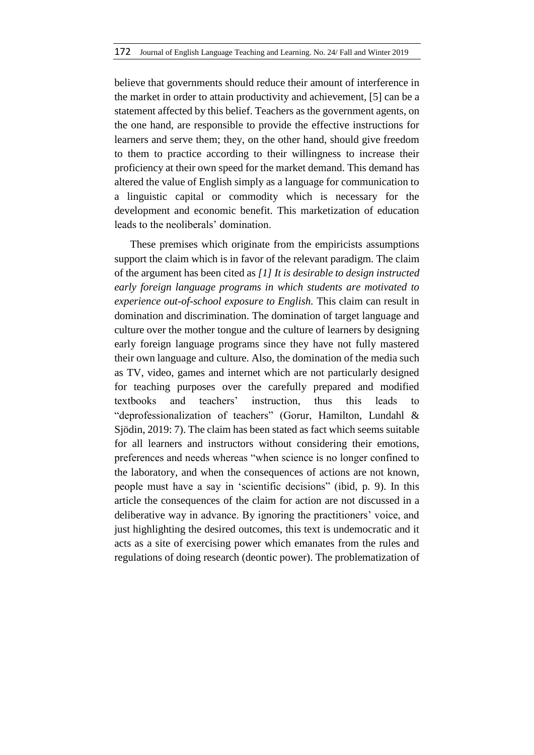believe that governments should reduce their amount of interference in the market in order to attain productivity and achievement, [5] can be a statement affected by this belief. Teachers as the government agents, on the one hand, are responsible to provide the effective instructions for learners and serve them; they, on the other hand, should give freedom to them to practice according to their willingness to increase their proficiency at their own speed for the market demand. This demand has altered the value of English simply as a language for communication to a linguistic capital or commodity which is necessary for the development and economic benefit. This marketization of education leads to the neoliberals' domination.

These premises which originate from the empiricists assumptions support the claim which is in favor of the relevant paradigm. The claim of the argument has been cited as *[1] It is desirable to design instructed early foreign language programs in which students are motivated to experience out-of-school exposure to English.* This claim can result in domination and discrimination. The domination of target language and culture over the mother tongue and the culture of learners by designing early foreign language programs since they have not fully mastered their own language and culture. Also, the domination of the media such as TV, video, games and internet which are not particularly designed for teaching purposes over the carefully prepared and modified textbooks and teachers' instruction, thus this leads to "deprofessionalization of teachers" (Gorur, Hamilton, Lundahl & Sjödin, 2019: 7). The claim has been stated as fact which seems suitable for all learners and instructors without considering their emotions, preferences and needs whereas "when science is no longer confined to the laboratory, and when the consequences of actions are not known, people must have a say in 'scientific decisions" (ibid, p. 9). In this article the consequences of the claim for action are not discussed in a deliberative way in advance. By ignoring the practitioners' voice, and just highlighting the desired outcomes, this text is undemocratic and it acts as a site of exercising power which emanates from the rules and regulations of doing research (deontic power). The problematization of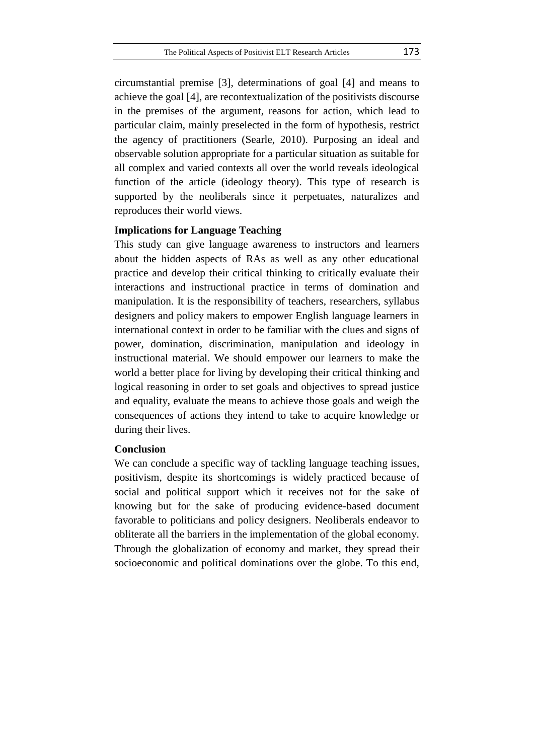circumstantial premise [3], determinations of goal [4] and means to achieve the goal [4], are recontextualization of the positivists discourse in the premises of the argument, reasons for action, which lead to particular claim, mainly preselected in the form of hypothesis, restrict the agency of practitioners (Searle, 2010). Purposing an ideal and observable solution appropriate for a particular situation as suitable for all complex and varied contexts all over the world reveals ideological function of the article (ideology theory). This type of research is supported by the neoliberals since it perpetuates, naturalizes and reproduces their world views.

## **Implications for Language Teaching**

This study can give language awareness to instructors and learners about the hidden aspects of RAs as well as any other educational practice and develop their critical thinking to critically evaluate their interactions and instructional practice in terms of domination and manipulation. It is the responsibility of teachers, researchers, syllabus designers and policy makers to empower English language learners in international context in order to be familiar with the clues and signs of power, domination, discrimination, manipulation and ideology in instructional material. We should empower our learners to make the world a better place for living by developing their critical thinking and logical reasoning in order to set goals and objectives to spread justice and equality, evaluate the means to achieve those goals and weigh the consequences of actions they intend to take to acquire knowledge or during their lives.

### **Conclusion**

We can conclude a specific way of tackling language teaching issues, positivism, despite its shortcomings is widely practiced because of social and political support which it receives not for the sake of knowing but for the sake of producing evidence-based document favorable to politicians and policy designers. Neoliberals endeavor to obliterate all the barriers in the implementation of the global economy. Through the globalization of economy and market, they spread their socioeconomic and political dominations over the globe. To this end,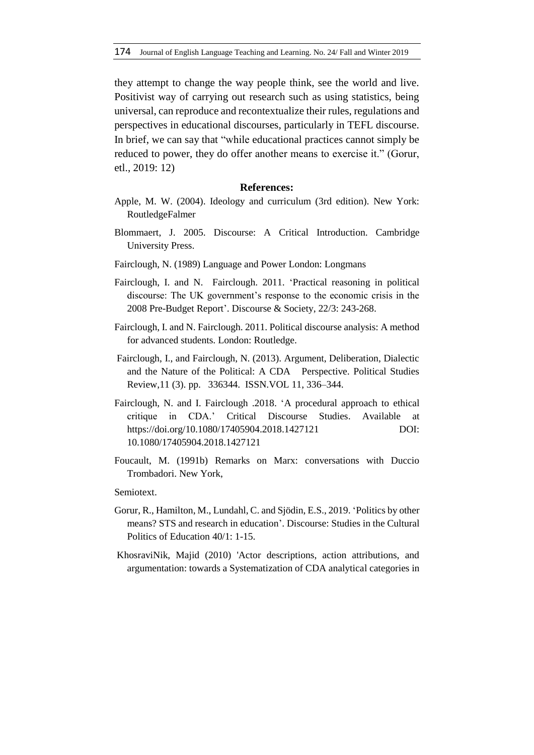they attempt to change the way people think, see the world and live. Positivist way of carrying out research such as using statistics, being universal, can reproduce and recontextualize their rules, regulations and perspectives in educational discourses, particularly in TEFL discourse. In brief, we can say that "while educational practices cannot simply be reduced to power, they do offer another means to exercise it." (Gorur, etl., 2019: 12)

#### **References:**

- Apple, M. W. (2004). Ideology and curriculum (3rd edition). New York: RoutledgeFalmer
- Blommaert, J. 2005. Discourse: A Critical Introduction. Cambridge University Press.
- Fairclough, N. (1989) Language and Power London: Longmans
- Fairclough, I. and N. Fairclough. 2011. 'Practical reasoning in political discourse: The UK government's response to the economic crisis in the 2008 Pre-Budget Report'. Discourse & Society, 22/3: 243-268.
- Fairclough, I. and N. Fairclough. 2011. Political discourse analysis: A method for advanced students. London: Routledge.
- Fairclough, I., and Fairclough, N. (2013). Argument, Deliberation, Dialectic and the Nature of the Political: A CDA Perspective. Political Studies Review,11 (3). pp. 336344. ISSN.VOL 11, 336–344.
- Fairclough, N. and I. Fairclough .2018. 'A procedural approach to ethical critique in CDA.' Critical Discourse Studies. Available at https://doi.org/10.1080/17405904.2018.1427121 DOI: 10.1080/17405904.2018.1427121
- Foucault, M. (1991b) Remarks on Marx: conversations with Duccio Trombadori. New York,

Semiotext.

- Gorur, R., Hamilton, M., Lundahl, C. and Sjödin, E.S., 2019. 'Politics by other means? STS and research in education'. Discourse: Studies in the Cultural Politics of Education 40/1: 1-15.
- KhosraviNik, Majid (2010) 'Actor descriptions, action attributions, and argumentation: towards a Systematization of CDA analytical categories in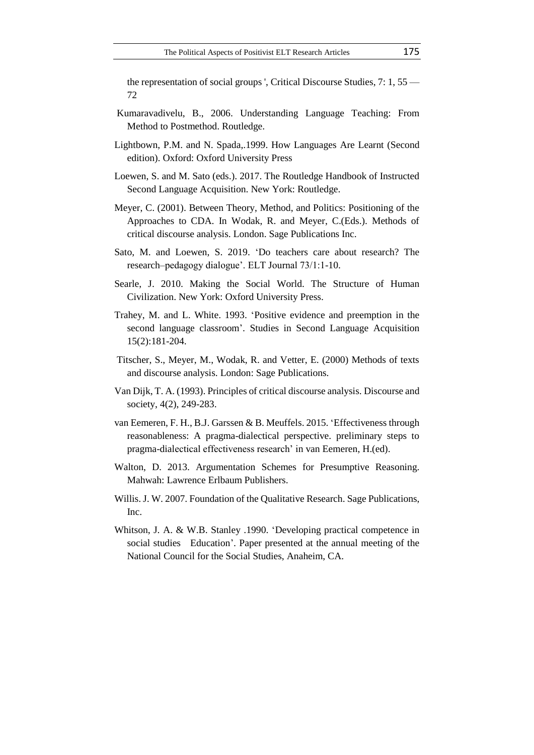the representation of social groups ', Critical Discourse Studies, 7: 1, 55 — 72

- Kumaravadivelu, B., 2006. Understanding Language Teaching: From Method to Postmethod. Routledge.
- Lightbown, P.M. and N. Spada,.1999. How Languages Are Learnt (Second edition). Oxford: Oxford University Press
- Loewen, S. and M. Sato (eds.). 2017. The Routledge Handbook of Instructed Second Language Acquisition. New York: Routledge.
- Meyer, C. (2001). Between Theory, Method, and Politics: Positioning of the Approaches to CDA. In Wodak, R. and Meyer, C.(Eds.). Methods of critical discourse analysis. London. Sage Publications Inc.
- Sato, M. and Loewen, S. 2019. 'Do teachers care about research? The research–pedagogy dialogue'. ELT Journal 73/1:1-10.
- Searle, J. 2010. Making the Social World. The Structure of Human Civilization. New York: Oxford University Press.
- Trahey, M. and L. White. 1993. 'Positive evidence and preemption in the second language classroom'. Studies in Second Language Acquisition 15(2):181-204.
- Titscher, S., Meyer, M., Wodak, R. and Vetter, E. (2000) Methods of texts and discourse analysis. London: Sage Publications.
- Van Dijk, T. A. (1993). Principles of critical discourse analysis. Discourse and society, 4(2), 249-283.
- van Eemeren, F. H., B.J. Garssen & B. Meuffels. 2015. 'Effectiveness through reasonableness: A pragma-dialectical perspective. preliminary steps to pragma-dialectical effectiveness research' in van Eemeren, H.(ed).
- Walton, D. 2013. Argumentation Schemes for Presumptive Reasoning. Mahwah: Lawrence Erlbaum Publishers.
- Willis. J. W. 2007. Foundation of the Qualitative Research. Sage Publications, Inc.
- Whitson, J. A. & W.B. Stanley .1990. 'Developing practical competence in social studies Education'. Paper presented at the annual meeting of the National Council for the Social Studies, Anaheim, CA.